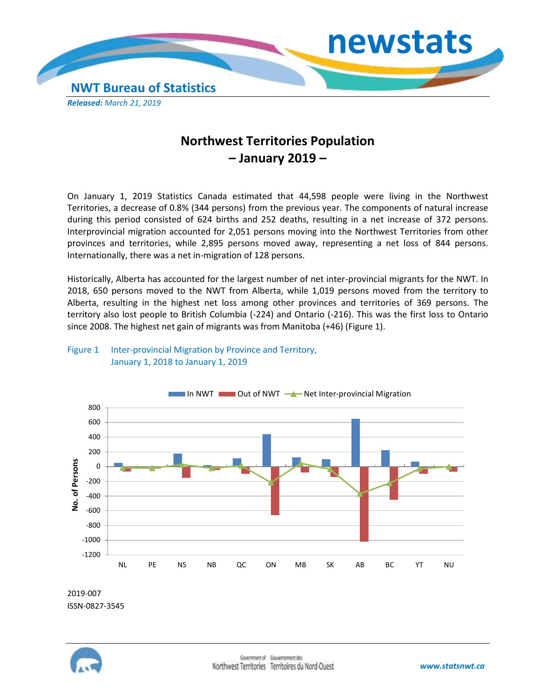

# **Northwest Territories Population – January 2019 –**

On January 1, 2019 Statistics Canada estimated that 44,598 people were living in the Northwest Territories, a decrease of 0.8% (344 persons) from the previous year. The components of natural increase during this period consisted of 624 births and 252 deaths, resulting in a net increase of 372 persons. Interprovincial migration accounted for 2,051 persons moving into the Northwest Territories from other provinces and territories, while 2,895 persons moved away, representing a net loss of 844 persons. Internationally, there was a net in-migration of 128 persons.

Historically, Alberta has accounted for the largest number of net inter-provincial migrants for the NWT. In 2018, 650 persons moved to the NWT from Alberta, while 1,019 persons moved from the territory to Alberta, resulting in the highest net loss among other provinces and territories of 369 persons. The territory also lost people to British Columbia (-224) and Ontario (-216). This was the first loss to Ontario since 2008. The highest net gain of migrants was from Manitoba (+46) (Figure 1).



## Figure 1 Inter-provincial Migration by Province and Territory, January 1, 2018 to January 1, 2019

2019-007 ISSN-0827-3545

-1200 -1000 -800 -600



NL PE NS NB QC ON MB SK AB BC YT NU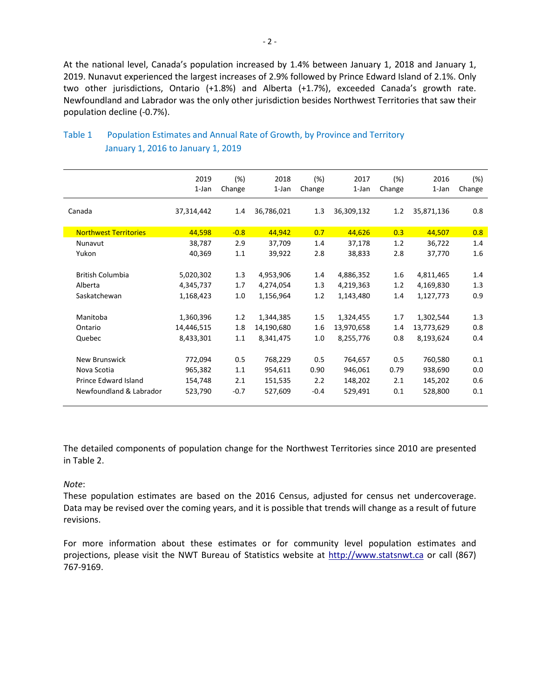At the national level, Canada's population increased by 1.4% between January 1, 2018 and January 1, 2019. Nunavut experienced the largest increases of 2.9% followed by Prince Edward Island of 2.1%. Only two other jurisdictions, Ontario (+1.8%) and Alberta (+1.7%), exceeded Canada's growth rate. Newfoundland and Labrador was the only other jurisdiction besides Northwest Territories that saw their population decline (-0.7%).

|                              | 2019<br>1-Jan | (%)<br>Change | 2018<br>$1$ -Jan | (%)<br>Change | 2017<br>1-Jan | (%)<br>Change | 2016<br>1-Jan | (%)<br>Change |
|------------------------------|---------------|---------------|------------------|---------------|---------------|---------------|---------------|---------------|
| Canada                       | 37,314,442    | 1.4           | 36,786,021       | 1.3           | 36,309,132    | 1.2           | 35,871,136    | 0.8           |
| <b>Northwest Territories</b> | 44,598        | $-0.8$        | 44,942           | 0.7           | 44,626        | 0.3           | 44,507        | 0.8           |
| Nunavut                      | 38,787        | 2.9           | 37,709           | 1.4           | 37,178        | 1.2           | 36,722        | 1.4           |
| Yukon                        | 40,369        | 1.1           | 39,922           | 2.8           | 38,833        | 2.8           | 37,770        | 1.6           |
|                              |               |               |                  |               |               |               |               |               |
| <b>British Columbia</b>      | 5,020,302     | 1.3           | 4,953,906        | 1.4           | 4,886,352     | 1.6           | 4,811,465     | 1.4           |
| Alberta                      | 4,345,737     | 1.7           | 4,274,054        | 1.3           | 4,219,363     | 1.2           | 4,169,830     | 1.3           |
| Saskatchewan                 | 1,168,423     | 1.0           | 1,156,964        | 1.2           | 1,143,480     | 1.4           | 1,127,773     | 0.9           |
|                              |               |               |                  |               |               |               |               |               |
| Manitoba                     | 1,360,396     | 1.2           | 1,344,385        | 1.5           | 1,324,455     | 1.7           | 1,302,544     | 1.3           |
| Ontario                      | 14,446,515    | 1.8           | 14,190,680       | 1.6           | 13,970,658    | 1.4           | 13,773,629    | 0.8           |
| Quebec                       | 8,433,301     | 1.1           | 8,341,475        | 1.0           | 8,255,776     | 0.8           | 8,193,624     | 0.4           |
|                              |               |               |                  |               |               |               |               |               |
| New Brunswick                | 772,094       | 0.5           | 768,229          | 0.5           | 764,657       | 0.5           | 760,580       | 0.1           |
| Nova Scotia                  | 965,382       | 1.1           | 954,611          | 0.90          | 946,061       | 0.79          | 938,690       | 0.0           |
| Prince Edward Island         | 154,748       | 2.1           | 151,535          | 2.2           | 148,202       | 2.1           | 145,202       | 0.6           |
| Newfoundland & Labrador      | 523,790       | $-0.7$        | 527,609          | $-0.4$        | 529,491       | 0.1           | 528,800       | 0.1           |
|                              |               |               |                  |               |               |               |               |               |

# Table 1 Population Estimates and Annual Rate of Growth, by Province and Territory January 1, 2016 to January 1, 2019

The detailed components of population change for the Northwest Territories since 2010 are presented in Table 2.

#### *Note*:

These population estimates are based on the 2016 Census, adjusted for census net undercoverage. Data may be revised over the coming years, and it is possible that trends will change as a result of future revisions.

For more information about these estimates or for community level population estimates and projections, please visit the NWT Bureau of Statistics website at http://www.statsnwt.ca or call (867) 767-9169.